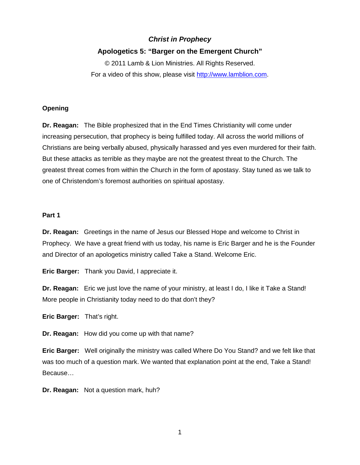# *Christ in Prophecy*

# **Apologetics 5: "Barger on the Emergent Church"**

© 2011 Lamb & Lion Ministries. All Rights Reserved. For a video of this show, please visit [http://www.lamblion.com.](http://www.lamblion.com/)

## **Opening**

**Dr. Reagan:** The Bible prophesized that in the End Times Christianity will come under increasing persecution, that prophecy is being fulfilled today. All across the world millions of Christians are being verbally abused, physically harassed and yes even murdered for their faith. But these attacks as terrible as they maybe are not the greatest threat to the Church. The greatest threat comes from within the Church in the form of apostasy. Stay tuned as we talk to one of Christendom's foremost authorities on spiritual apostasy.

#### **Part 1**

**Dr. Reagan:** Greetings in the name of Jesus our Blessed Hope and welcome to Christ in Prophecy. We have a great friend with us today, his name is Eric Barger and he is the Founder and Director of an apologetics ministry called Take a Stand. Welcome Eric.

**Eric Barger:** Thank you David, I appreciate it.

**Dr. Reagan:** Eric we just love the name of your ministry, at least I do, I like it Take a Stand! More people in Christianity today need to do that don't they?

**Eric Barger:** That's right.

**Dr. Reagan:** How did you come up with that name?

**Eric Barger:** Well originally the ministry was called Where Do You Stand? and we felt like that was too much of a question mark. We wanted that explanation point at the end, Take a Stand! Because…

**Dr. Reagan:** Not a question mark, huh?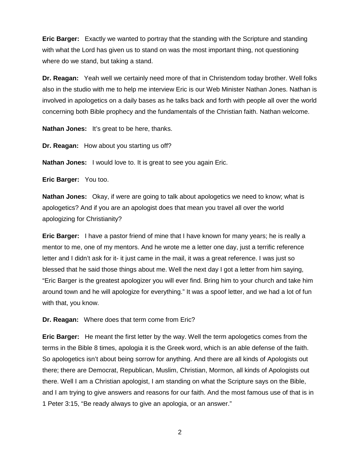**Eric Barger:** Exactly we wanted to portray that the standing with the Scripture and standing with what the Lord has given us to stand on was the most important thing, not questioning where do we stand, but taking a stand.

**Dr. Reagan:** Yeah well we certainly need more of that in Christendom today brother. Well folks also in the studio with me to help me interview Eric is our Web Minister Nathan Jones. Nathan is involved in apologetics on a daily bases as he talks back and forth with people all over the world concerning both Bible prophecy and the fundamentals of the Christian faith. Nathan welcome.

**Nathan Jones:** It's great to be here, thanks.

**Dr. Reagan:** How about you starting us off?

**Nathan Jones:** I would love to. It is great to see you again Eric.

**Eric Barger:** You too.

**Nathan Jones:** Okay, if were are going to talk about apologetics we need to know; what is apologetics? And if you are an apologist does that mean you travel all over the world apologizing for Christianity?

**Eric Barger:** I have a pastor friend of mine that I have known for many years; he is really a mentor to me, one of my mentors. And he wrote me a letter one day, just a terrific reference letter and I didn't ask for it- it just came in the mail, it was a great reference. I was just so blessed that he said those things about me. Well the next day I got a letter from him saying, "Eric Barger is the greatest apologizer you will ever find. Bring him to your church and take him around town and he will apologize for everything." It was a spoof letter, and we had a lot of fun with that, you know.

**Dr. Reagan:** Where does that term come from Eric?

**Eric Barger:** He meant the first letter by the way. Well the term apologetics comes from the terms in the Bible 8 times, apologia it is the Greek word, which is an able defense of the faith. So apologetics isn't about being sorrow for anything. And there are all kinds of Apologists out there; there are Democrat, Republican, Muslim, Christian, Mormon, all kinds of Apologists out there. Well I am a Christian apologist, I am standing on what the Scripture says on the Bible, and I am trying to give answers and reasons for our faith. And the most famous use of that is in 1 Peter 3:15, "Be ready always to give an apologia, or an answer."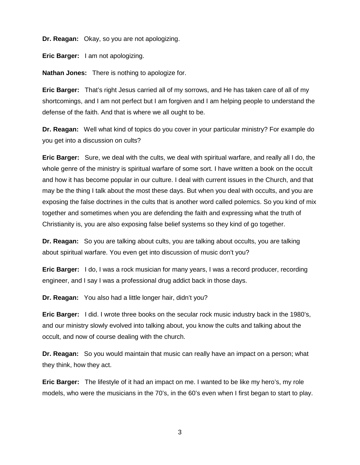**Dr. Reagan:** Okay, so you are not apologizing.

**Eric Barger:** I am not apologizing.

**Nathan Jones:** There is nothing to apologize for.

**Eric Barger:** That's right Jesus carried all of my sorrows, and He has taken care of all of my shortcomings, and I am not perfect but I am forgiven and I am helping people to understand the defense of the faith. And that is where we all ought to be.

**Dr. Reagan:** Well what kind of topics do you cover in your particular ministry? For example do you get into a discussion on cults?

**Eric Barger:** Sure, we deal with the cults, we deal with spiritual warfare, and really all I do, the whole genre of the ministry is spiritual warfare of some sort. I have written a book on the occult and how it has become popular in our culture. I deal with current issues in the Church, and that may be the thing I talk about the most these days. But when you deal with occults, and you are exposing the false doctrines in the cults that is another word called polemics. So you kind of mix together and sometimes when you are defending the faith and expressing what the truth of Christianity is, you are also exposing false belief systems so they kind of go together.

**Dr. Reagan:** So you are talking about cults, you are talking about occults, you are talking about spiritual warfare. You even get into discussion of music don't you?

**Eric Barger:** I do, I was a rock musician for many years, I was a record producer, recording engineer, and I say I was a professional drug addict back in those days.

**Dr. Reagan:** You also had a little longer hair, didn't you?

**Eric Barger:** I did. I wrote three books on the secular rock music industry back in the 1980's, and our ministry slowly evolved into talking about, you know the cults and talking about the occult, and now of course dealing with the church.

**Dr. Reagan:** So you would maintain that music can really have an impact on a person; what they think, how they act.

**Eric Barger:** The lifestyle of it had an impact on me. I wanted to be like my hero's, my role models, who were the musicians in the 70's, in the 60's even when I first began to start to play.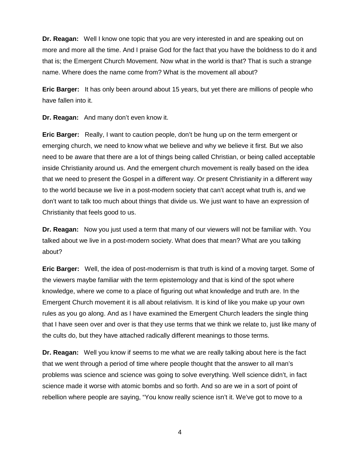**Dr. Reagan:** Well I know one topic that you are very interested in and are speaking out on more and more all the time. And I praise God for the fact that you have the boldness to do it and that is; the Emergent Church Movement. Now what in the world is that? That is such a strange name. Where does the name come from? What is the movement all about?

**Eric Barger:** It has only been around about 15 years, but yet there are millions of people who have fallen into it.

**Dr. Reagan:** And many don't even know it.

**Eric Barger:** Really, I want to caution people, don't be hung up on the term emergent or emerging church, we need to know what we believe and why we believe it first. But we also need to be aware that there are a lot of things being called Christian, or being called acceptable inside Christianity around us. And the emergent church movement is really based on the idea that we need to present the Gospel in a different way. Or present Christianity in a different way to the world because we live in a post-modern society that can't accept what truth is, and we don't want to talk too much about things that divide us. We just want to have an expression of Christianity that feels good to us.

**Dr. Reagan:** Now you just used a term that many of our viewers will not be familiar with. You talked about we live in a post-modern society. What does that mean? What are you talking about?

**Eric Barger:** Well, the idea of post-modernism is that truth is kind of a moving target. Some of the viewers maybe familiar with the term epistemology and that is kind of the spot where knowledge, where we come to a place of figuring out what knowledge and truth are. In the Emergent Church movement it is all about relativism. It is kind of like you make up your own rules as you go along. And as I have examined the Emergent Church leaders the single thing that I have seen over and over is that they use terms that we think we relate to, just like many of the cults do, but they have attached radically different meanings to those terms.

**Dr. Reagan:** Well you know if seems to me what we are really talking about here is the fact that we went through a period of time where people thought that the answer to all man's problems was science and science was going to solve everything. Well science didn't, in fact science made it worse with atomic bombs and so forth. And so are we in a sort of point of rebellion where people are saying, "You know really science isn't it. We've got to move to a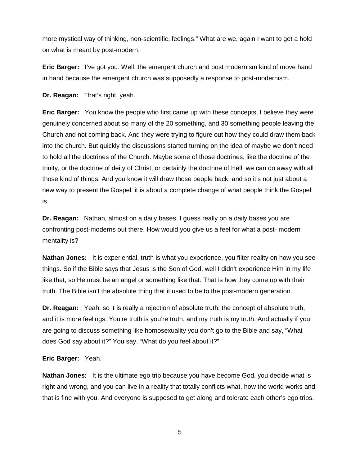more mystical way of thinking, non-scientific, feelings." What are we, again I want to get a hold on what is meant by post-modern.

**Eric Barger:** I've got you. Well, the emergent church and post modernism kind of move hand in hand because the emergent church was supposedly a response to post-modernism.

**Dr. Reagan:** That's right, yeah.

**Eric Barger:** You know the people who first came up with these concepts, I believe they were genuinely concerned about so many of the 20 something, and 30 something people leaving the Church and not coming back. And they were trying to figure out how they could draw them back into the church. But quickly the discussions started turning on the idea of maybe we don't need to hold all the doctrines of the Church. Maybe some of those doctrines, like the doctrine of the trinity, or the doctrine of deity of Christ, or certainly the doctrine of Hell, we can do away with all those kind of things. And you know it will draw those people back, and so it's not just about a new way to present the Gospel, it is about a complete change of what people think the Gospel is.

**Dr. Reagan:** Nathan, almost on a daily bases, I guess really on a daily bases you are confronting post-moderns out there. How would you give us a feel for what a post- modern mentality is?

**Nathan Jones:** It is experiential, truth is what you experience, you filter reality on how you see things. So if the Bible says that Jesus is the Son of God, well I didn't experience Him in my life like that, so He must be an angel or something like that. That is how they come up with their truth. The Bible isn't the absolute thing that it used to be to the post-modern generation.

**Dr. Reagan:** Yeah, so it is really a rejection of absolute truth, the concept of absolute truth, and it is more feelings. You're truth is you're truth, and my truth is my truth. And actually if you are going to discuss something like homosexuality you don't go to the Bible and say, "What does God say about it?" You say, "What do you feel about it?"

**Eric Barger:** Yeah.

**Nathan Jones:** It is the ultimate ego trip because you have become God, you decide what is right and wrong, and you can live in a reality that totally conflicts what, how the world works and that is fine with you. And everyone is supposed to get along and tolerate each other's ego trips.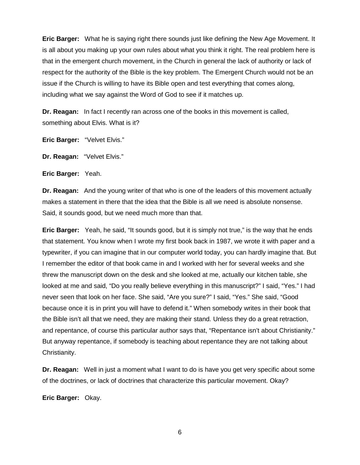**Eric Barger:** What he is saying right there sounds just like defining the New Age Movement. It is all about you making up your own rules about what you think it right. The real problem here is that in the emergent church movement, in the Church in general the lack of authority or lack of respect for the authority of the Bible is the key problem. The Emergent Church would not be an issue if the Church is willing to have its Bible open and test everything that comes along, including what we say against the Word of God to see if it matches up.

**Dr. Reagan:** In fact I recently ran across one of the books in this movement is called, something about Elvis. What is it?

**Eric Barger:** "Velvet Elvis."

**Dr. Reagan:** "Velvet Elvis."

**Eric Barger:** Yeah.

**Dr. Reagan:** And the young writer of that who is one of the leaders of this movement actually makes a statement in there that the idea that the Bible is all we need is absolute nonsense. Said, it sounds good, but we need much more than that.

**Eric Barger:** Yeah, he said, "It sounds good, but it is simply not true," is the way that he ends that statement. You know when I wrote my first book back in 1987, we wrote it with paper and a typewriter, if you can imagine that in our computer world today, you can hardly imagine that. But I remember the editor of that book came in and I worked with her for several weeks and she threw the manuscript down on the desk and she looked at me, actually our kitchen table, she looked at me and said, "Do you really believe everything in this manuscript?" I said, "Yes." I had never seen that look on her face. She said, "Are you sure?" I said, "Yes." She said, "Good because once it is in print you will have to defend it." When somebody writes in their book that the Bible isn't all that we need, they are making their stand. Unless they do a great retraction, and repentance, of course this particular author says that, "Repentance isn't about Christianity." But anyway repentance, if somebody is teaching about repentance they are not talking about Christianity.

**Dr. Reagan:** Well in just a moment what I want to do is have you get very specific about some of the doctrines, or lack of doctrines that characterize this particular movement. Okay?

**Eric Barger:** Okay.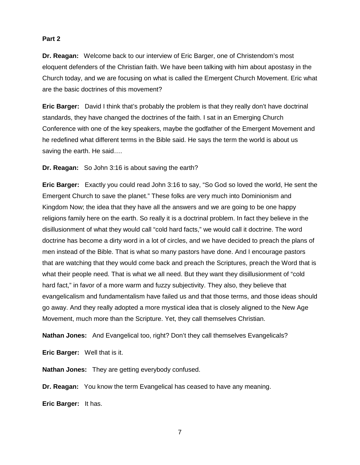## **Part 2**

**Dr. Reagan:** Welcome back to our interview of Eric Barger, one of Christendom's most eloquent defenders of the Christian faith. We have been talking with him about apostasy in the Church today, and we are focusing on what is called the Emergent Church Movement. Eric what are the basic doctrines of this movement?

**Eric Barger:** David I think that's probably the problem is that they really don't have doctrinal standards, they have changed the doctrines of the faith. I sat in an Emerging Church Conference with one of the key speakers, maybe the godfather of the Emergent Movement and he redefined what different terms in the Bible said. He says the term the world is about us saving the earth. He said….

**Dr. Reagan:** So John 3:16 is about saving the earth?

**Eric Barger:** Exactly you could read John 3:16 to say, "So God so loved the world, He sent the Emergent Church to save the planet." These folks are very much into Dominionism and Kingdom Now; the idea that they have all the answers and we are going to be one happy religions family here on the earth. So really it is a doctrinal problem. In fact they believe in the disillusionment of what they would call "cold hard facts," we would call it doctrine. The word doctrine has become a dirty word in a lot of circles, and we have decided to preach the plans of men instead of the Bible. That is what so many pastors have done. And I encourage pastors that are watching that they would come back and preach the Scriptures, preach the Word that is what their people need. That is what we all need. But they want they disillusionment of "cold hard fact," in favor of a more warm and fuzzy subjectivity. They also, they believe that evangelicalism and fundamentalism have failed us and that those terms, and those ideas should go away. And they really adopted a more mystical idea that is closely aligned to the New Age Movement, much more than the Scripture. Yet, they call themselves Christian.

**Nathan Jones:** And Evangelical too, right? Don't they call themselves Evangelicals?

**Eric Barger:** Well that is it.

**Nathan Jones:** They are getting everybody confused.

**Dr. Reagan:** You know the term Evangelical has ceased to have any meaning.

**Eric Barger:** It has.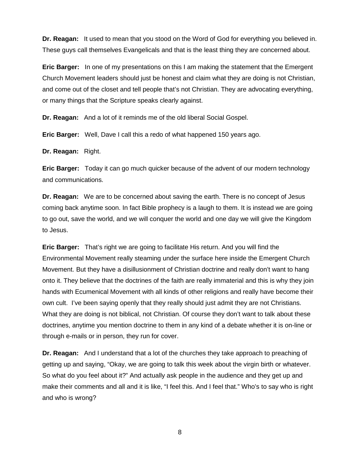**Dr. Reagan:** It used to mean that you stood on the Word of God for everything you believed in. These guys call themselves Evangelicals and that is the least thing they are concerned about.

**Eric Barger:** In one of my presentations on this I am making the statement that the Emergent Church Movement leaders should just be honest and claim what they are doing is not Christian, and come out of the closet and tell people that's not Christian. They are advocating everything, or many things that the Scripture speaks clearly against.

**Dr. Reagan:** And a lot of it reminds me of the old liberal Social Gospel.

**Eric Barger:** Well, Dave I call this a redo of what happened 150 years ago.

**Dr. Reagan:** Right.

**Eric Barger:** Today it can go much quicker because of the advent of our modern technology and communications.

**Dr. Reagan:** We are to be concerned about saving the earth. There is no concept of Jesus coming back anytime soon. In fact Bible prophecy is a laugh to them. It is instead we are going to go out, save the world, and we will conquer the world and one day we will give the Kingdom to Jesus.

**Eric Barger:** That's right we are going to facilitate His return. And you will find the Environmental Movement really steaming under the surface here inside the Emergent Church Movement. But they have a disillusionment of Christian doctrine and really don't want to hang onto it. They believe that the doctrines of the faith are really immaterial and this is why they join hands with Ecumenical Movement with all kinds of other religions and really have become their own cult. I've been saying openly that they really should just admit they are not Christians. What they are doing is not biblical, not Christian. Of course they don't want to talk about these doctrines, anytime you mention doctrine to them in any kind of a debate whether it is on-line or through e-mails or in person, they run for cover.

**Dr. Reagan:** And I understand that a lot of the churches they take approach to preaching of getting up and saying, "Okay, we are going to talk this week about the virgin birth or whatever. So what do you feel about it?" And actually ask people in the audience and they get up and make their comments and all and it is like, "I feel this. And I feel that." Who's to say who is right and who is wrong?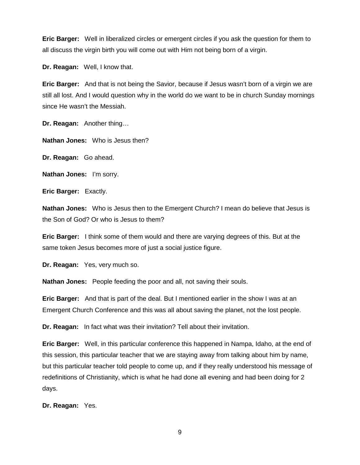**Eric Barger:** Well in liberalized circles or emergent circles if you ask the question for them to all discuss the virgin birth you will come out with Him not being born of a virgin.

**Dr. Reagan:** Well, I know that.

**Eric Barger:** And that is not being the Savior, because if Jesus wasn't born of a virgin we are still all lost. And I would question why in the world do we want to be in church Sunday mornings since He wasn't the Messiah.

**Dr. Reagan:** Another thing…

**Nathan Jones:** Who is Jesus then?

**Dr. Reagan:** Go ahead.

**Nathan Jones:** I'm sorry.

**Eric Barger:** Exactly.

**Nathan Jones:** Who is Jesus then to the Emergent Church? I mean do believe that Jesus is the Son of God? Or who is Jesus to them?

**Eric Barger:** I think some of them would and there are varying degrees of this. But at the same token Jesus becomes more of just a social justice figure.

**Dr. Reagan:** Yes, very much so.

**Nathan Jones:** People feeding the poor and all, not saving their souls.

**Eric Barger:** And that is part of the deal. But I mentioned earlier in the show I was at an Emergent Church Conference and this was all about saving the planet, not the lost people.

**Dr. Reagan:** In fact what was their invitation? Tell about their invitation.

**Eric Barger:** Well, in this particular conference this happened in Nampa, Idaho, at the end of this session, this particular teacher that we are staying away from talking about him by name, but this particular teacher told people to come up, and if they really understood his message of redefinitions of Christianity, which is what he had done all evening and had been doing for 2 days.

**Dr. Reagan:** Yes.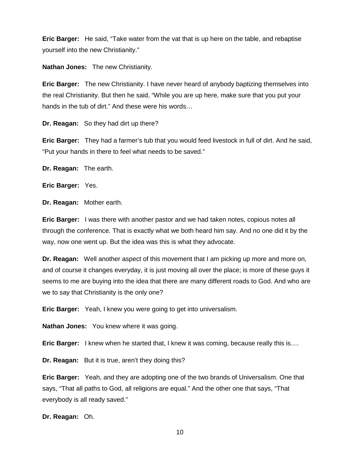**Eric Barger:** He said, "Take water from the vat that is up here on the table, and rebaptise yourself into the new Christianity."

**Nathan Jones:** The new Christianity.

**Eric Barger:** The new Christianity. I have never heard of anybody baptizing themselves into the real Christianity. But then he said, "While you are up here, make sure that you put your hands in the tub of dirt." And these were his words…

**Dr. Reagan:** So they had dirt up there?

**Eric Barger:** They had a farmer's tub that you would feed livestock in full of dirt. And he said, "Put your hands in there to feel what needs to be saved."

**Dr. Reagan:** The earth.

**Eric Barger:** Yes.

**Dr. Reagan:** Mother earth.

**Eric Barger:** I was there with another pastor and we had taken notes, copious notes all through the conference. That is exactly what we both heard him say. And no one did it by the way, now one went up. But the idea was this is what they advocate.

**Dr. Reagan:** Well another aspect of this movement that I am picking up more and more on, and of course it changes everyday, it is just moving all over the place; is more of these guys it seems to me are buying into the idea that there are many different roads to God. And who are we to say that Christianity is the only one?

**Eric Barger:** Yeah, I knew you were going to get into universalism.

**Nathan Jones:** You knew where it was going.

**Eric Barger:** I knew when he started that, I knew it was coming, because really this is….

**Dr. Reagan:** But it is true, aren't they doing this?

**Eric Barger:** Yeah, and they are adopting one of the two brands of Universalism. One that says, "That all paths to God, all religions are equal." And the other one that says, "That everybody is all ready saved."

**Dr. Reagan:** Oh.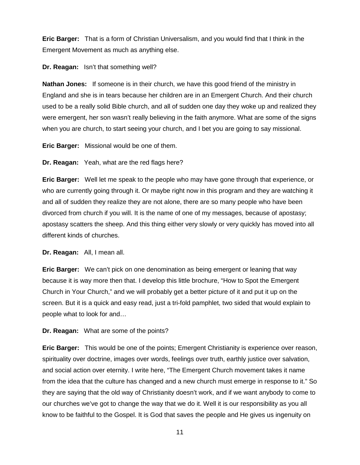**Eric Barger:** That is a form of Christian Universalism, and you would find that I think in the Emergent Movement as much as anything else.

**Dr. Reagan:** Isn't that something well?

**Nathan Jones:** If someone is in their church, we have this good friend of the ministry in England and she is in tears because her children are in an Emergent Church. And their church used to be a really solid Bible church, and all of sudden one day they woke up and realized they were emergent, her son wasn't really believing in the faith anymore. What are some of the signs when you are church, to start seeing your church, and I bet you are going to say missional.

**Eric Barger:** Missional would be one of them.

**Dr. Reagan:** Yeah, what are the red flags here?

**Eric Barger:** Well let me speak to the people who may have gone through that experience, or who are currently going through it. Or maybe right now in this program and they are watching it and all of sudden they realize they are not alone, there are so many people who have been divorced from church if you will. It is the name of one of my messages, because of apostasy; apostasy scatters the sheep. And this thing either very slowly or very quickly has moved into all different kinds of churches.

**Dr. Reagan:** All, I mean all.

**Eric Barger:** We can't pick on one denomination as being emergent or leaning that way because it is way more then that. I develop this little brochure, "How to Spot the Emergent Church in Your Church," and we will probably get a better picture of it and put it up on the screen. But it is a quick and easy read, just a tri-fold pamphlet, two sided that would explain to people what to look for and…

**Dr. Reagan:** What are some of the points?

**Eric Barger:** This would be one of the points; Emergent Christianity is experience over reason, spirituality over doctrine, images over words, feelings over truth, earthly justice over salvation, and social action over eternity. I write here, "The Emergent Church movement takes it name from the idea that the culture has changed and a new church must emerge in response to it." So they are saying that the old way of Christianity doesn't work, and if we want anybody to come to our churches we've got to change the way that we do it. Well it is our responsibility as you all know to be faithful to the Gospel. It is God that saves the people and He gives us ingenuity on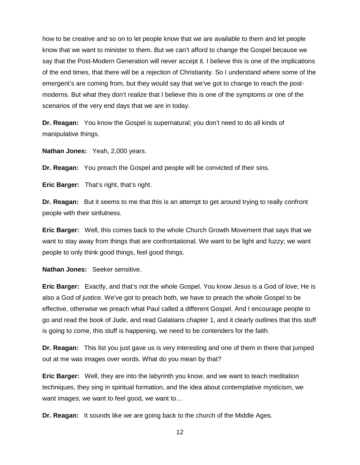how to be creative and so on to let people know that we are available to them and let people know that we want to minister to them. But we can't afford to change the Gospel because we say that the Post-Modern Generation will never accept it. I believe this is one of the implications of the end times, that there will be a rejection of Christianity. So I understand where some of the emergent's are coming from, but they would say that we've got to change to reach the postmoderns. But what they don't realize that I believe this is one of the symptoms or one of the scenarios of the very end days that we are in today.

**Dr. Reagan:** You know the Gospel is supernatural; you don't need to do all kinds of manipulative things.

**Nathan Jones:** Yeah, 2,000 years.

**Dr. Reagan:** You preach the Gospel and people will be convicted of their sins.

**Eric Barger:** That's right, that's right.

**Dr. Reagan:** But it seems to me that this is an attempt to get around trying to really confront people with their sinfulness.

**Eric Barger:** Well, this comes back to the whole Church Growth Movement that says that we want to stay away from things that are confrontational. We want to be light and fuzzy; we want people to only think good things, feel good things.

**Nathan Jones:** Seeker sensitive.

**Eric Barger:** Exactly, and that's not the whole Gospel. You know Jesus is a God of love; He is also a God of justice. We've got to preach both, we have to preach the whole Gospel to be effective, otherwise we preach what Paul called a different Gospel. And I encourage people to go and read the book of Jude, and read Galatians chapter 1, and it clearly outlines that this stuff is going to come, this stuff is happening, we need to be contenders for the faith.

**Dr. Reagan:** This list you just gave us is very interesting and one of them in there that jumped out at me was images over words. What do you mean by that?

**Eric Barger:** Well, they are into the labyrinth you know, and we want to teach meditation techniques, they sing in spiritual formation, and the idea about contemplative mysticism, we want images; we want to feel good, we want to…

**Dr. Reagan:** It sounds like we are going back to the church of the Middle Ages.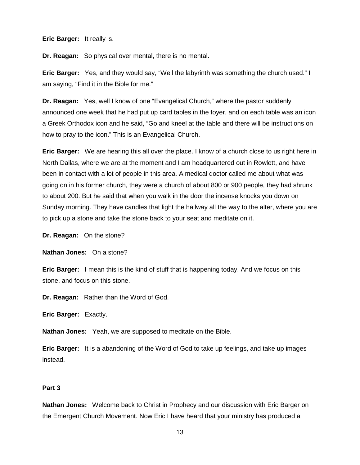**Eric Barger:** It really is.

**Dr. Reagan:** So physical over mental, there is no mental.

**Eric Barger:** Yes, and they would say, "Well the labyrinth was something the church used." I am saying, "Find it in the Bible for me."

**Dr. Reagan:** Yes, well I know of one "Evangelical Church," where the pastor suddenly announced one week that he had put up card tables in the foyer, and on each table was an icon a Greek Orthodox icon and he said, "Go and kneel at the table and there will be instructions on how to pray to the icon." This is an Evangelical Church.

**Eric Barger:** We are hearing this all over the place. I know of a church close to us right here in North Dallas, where we are at the moment and I am headquartered out in Rowlett, and have been in contact with a lot of people in this area. A medical doctor called me about what was going on in his former church, they were a church of about 800 or 900 people, they had shrunk to about 200. But he said that when you walk in the door the incense knocks you down on Sunday morning. They have candles that light the hallway all the way to the alter, where you are to pick up a stone and take the stone back to your seat and meditate on it.

**Dr. Reagan:** On the stone?

**Nathan Jones:** On a stone?

**Eric Barger:** I mean this is the kind of stuff that is happening today. And we focus on this stone, and focus on this stone.

**Dr. Reagan:** Rather than the Word of God.

**Eric Barger:** Exactly.

**Nathan Jones:** Yeah, we are supposed to meditate on the Bible.

**Eric Barger:** It is a abandoning of the Word of God to take up feelings, and take up images instead.

### **Part 3**

**Nathan Jones:** Welcome back to Christ in Prophecy and our discussion with Eric Barger on the Emergent Church Movement. Now Eric I have heard that your ministry has produced a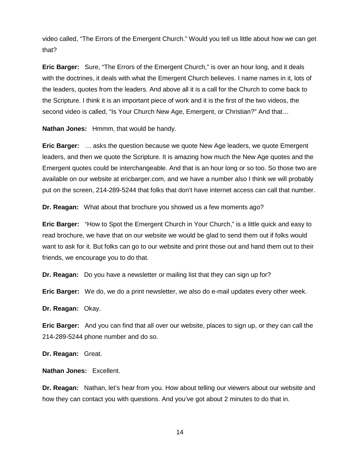video called, "The Errors of the Emergent Church." Would you tell us little about how we can get that?

**Eric Barger:** Sure, "The Errors of the Emergent Church," is over an hour long, and it deals with the doctrines, it deals with what the Emergent Church believes. I name names in it, lots of the leaders, quotes from the leaders. And above all it is a call for the Church to come back to the Scripture. I think it is an important piece of work and it is the first of the two videos, the second video is called, "Is Your Church New Age, Emergent, or Christian?" And that…

**Nathan Jones:** Hmmm, that would be handy.

**Eric Barger:** … asks the question because we quote New Age leaders, we quote Emergent leaders, and then we quote the Scripture. It is amazing how much the New Age quotes and the Emergent quotes could be interchangeable. And that is an hour long or so too. So those two are available on our website at ericbarger.com, and we have a number also I think we will probably put on the screen, 214-289-5244 that folks that don't have internet access can call that number.

**Dr. Reagan:** What about that brochure you showed us a few moments ago?

**Eric Barger:** "How to Spot the Emergent Church in Your Church," is a little quick and easy to read brochure, we have that on our website we would be glad to send them out if folks would want to ask for it. But folks can go to our website and print those out and hand them out to their friends, we encourage you to do that.

**Dr. Reagan:** Do you have a newsletter or mailing list that they can sign up for?

**Eric Barger:** We do, we do a print newsletter, we also do e-mail updates every other week.

**Dr. Reagan:** Okay.

**Eric Barger:** And you can find that all over our website, places to sign up, or they can call the 214-289-5244 phone number and do so.

**Dr. Reagan:** Great.

**Nathan Jones:** Excellent.

**Dr. Reagan:** Nathan, let's hear from you. How about telling our viewers about our website and how they can contact you with questions. And you've got about 2 minutes to do that in.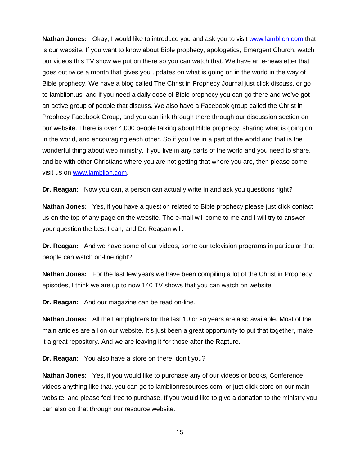**Nathan Jones:** Okay, I would like to introduce you and ask you to visit [www.lamblion.com](http://www.lamblion.com/) that is our website. If you want to know about Bible prophecy, apologetics, Emergent Church, watch our videos this TV show we put on there so you can watch that. We have an e-newsletter that goes out twice a month that gives you updates on what is going on in the world in the way of Bible prophecy. We have a blog called The Christ in Prophecy Journal just click discuss, or go to lamblion.us, and if you need a daily dose of Bible prophecy you can go there and we've got an active group of people that discuss. We also have a Facebook group called the Christ in Prophecy Facebook Group, and you can link through there through our discussion section on our website. There is over 4,000 people talking about Bible prophecy, sharing what is going on in the world, and encouraging each other. So if you live in a part of the world and that is the wonderful thing about web ministry, if you live in any parts of the world and you need to share, and be with other Christians where you are not getting that where you are, then please come visit us on [www.lamblion.com.](http://www.lamblion.com/)

**Dr. Reagan:** Now you can, a person can actually write in and ask you questions right?

**Nathan Jones:** Yes, if you have a question related to Bible prophecy please just click contact us on the top of any page on the website. The e-mail will come to me and I will try to answer your question the best I can, and Dr. Reagan will.

**Dr. Reagan:** And we have some of our videos, some our television programs in particular that people can watch on-line right?

**Nathan Jones:** For the last few years we have been compiling a lot of the Christ in Prophecy episodes, I think we are up to now 140 TV shows that you can watch on website.

**Dr. Reagan:** And our magazine can be read on-line.

**Nathan Jones:** All the Lamplighters for the last 10 or so years are also available. Most of the main articles are all on our website. It's just been a great opportunity to put that together, make it a great repository. And we are leaving it for those after the Rapture.

**Dr. Reagan:** You also have a store on there, don't you?

**Nathan Jones:** Yes, if you would like to purchase any of our videos or books, Conference videos anything like that, you can go to lamblionresources.com, or just click store on our main website, and please feel free to purchase. If you would like to give a donation to the ministry you can also do that through our resource website.